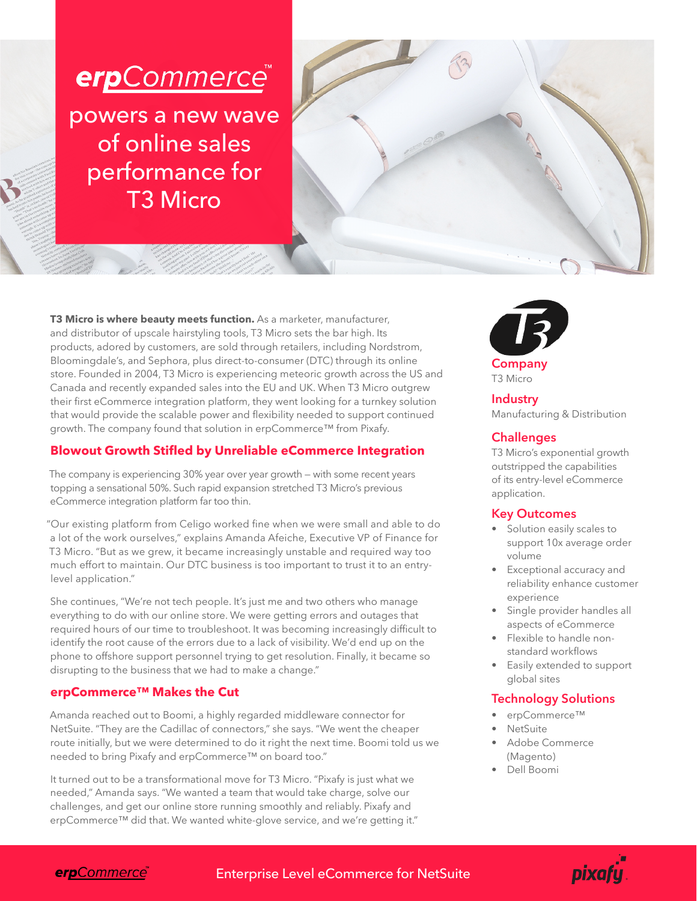



**T3 Micro is where beauty meets function.** As a marketer, manufacturer, and distributor of upscale hairstyling tools, T3 Micro sets the bar high. Its products, adored by customers, are sold through retailers, including Nordstrom, Bloomingdale's, and Sephora, plus direct-to-consumer (DTC) through its online store. Founded in 2004, T3 Micro is experiencing meteoric growth across the US and Canada and recently expanded sales into the EU and UK. When T3 Micro outgrew their first eCommerce integration platform, they went looking for a turnkey solution that would provide the scalable power and flexibility needed to support continued growth. The company found that solution in erpCommerce™ from Pixafy.

# **Blowout Growth Stifled by Unreliable eCommerce Integration**

The company is experiencing 30% year over year growth — with some recent years topping a sensational 50%. Such rapid expansion stretched T3 Micro's previous eCommerce integration platform far too thin.

"Our existing platform from Celigo worked fine when we were small and able to do a lot of the work ourselves," explains Amanda Afeiche, Executive VP of Finance for T3 Micro. "But as we grew, it became increasingly unstable and required way too much effort to maintain. Our DTC business is too important to trust it to an entrylevel application."

She continues, "We're not tech people. It's just me and two others who manage everything to do with our online store. We were getting errors and outages that required hours of our time to troubleshoot. It was becoming increasingly difficult to identify the root cause of the errors due to a lack of visibility. We'd end up on the phone to offshore support personnel trying to get resolution. Finally, it became so disrupting to the business that we had to make a change."

## **erpCommerce™ Makes the Cut**

Amanda reached out to Boomi, a highly regarded middleware connector for NetSuite. "They are the Cadillac of connectors," she says. "We went the cheaper route initially, but we were determined to do it right the next time. Boomi told us we needed to bring Pixafy and erpCommerce™ on board too."

It turned out to be a transformational move for T3 Micro. "Pixafy is just what we needed," Amanda says. "We wanted a team that would take charge, solve our challenges, and get our online store running smoothly and reliably. Pixafy and erpCommerce™ did that. We wanted white-glove service, and we're getting it."



**Company** T3 Micro

**Industry** Manufacturing & Distribution

# **Challenges**

T3 Micro's exponential growth outstripped the capabilities of its entry-level eCommerce application.

## **Key Outcomes**

- Solution easily scales to support 10x average order volume
- Exceptional accuracy and reliability enhance customer experience
- Single provider handles all aspects of eCommerce
- Flexible to handle nonstandard workflows
- Easily extended to support global sites

## **Technology Solutions**

- erpCommerce™
- **NetSuite**
- Adobe Commerce (Magento)
- Dell Boomi

Enterprise Level eCommerce for NetSuite **Enterprise Level of Little State**